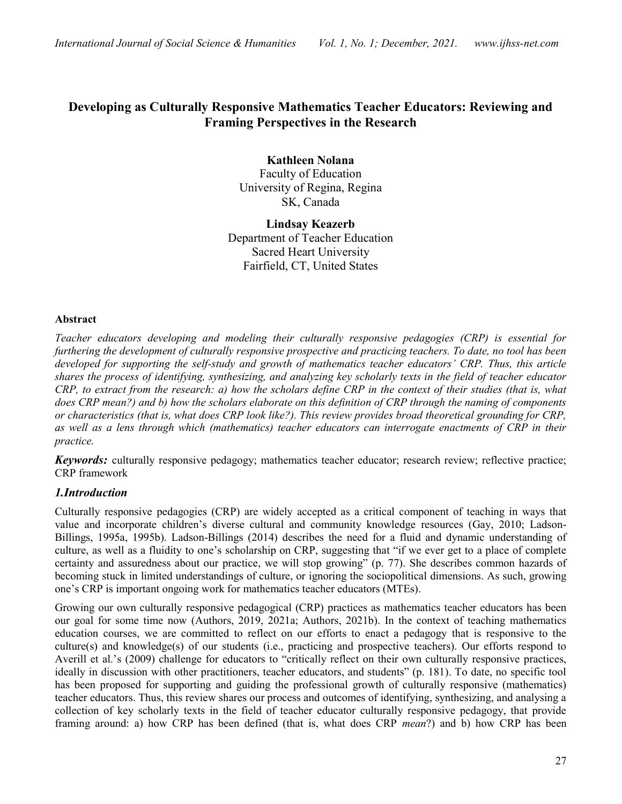# Developing as Culturally Responsive Mathematics Teacher Educators: Reviewing and Framing Perspectives in the Research

Kathleen Nolana Faculty of Education University of Regina, Regina SK, Canada

Lindsay Keazerb Department of Teacher Education Sacred Heart University Fairfield, CT, United States

#### Abstract

Teacher educators developing and modeling their culturally responsive pedagogies (CRP) is essential for furthering the development of culturally responsive prospective and practicing teachers. To date, no tool has been developed for supporting the self-study and growth of mathematics teacher educators' CRP. Thus, this article shares the process of identifying, synthesizing, and analyzing key scholarly texts in the field of teacher educator CRP, to extract from the research: a) how the scholars define CRP in the context of their studies (that is, what does CRP mean?) and b) how the scholars elaborate on this definition of CRP through the naming of components or characteristics (that is, what does CRP look like?). This review provides broad theoretical grounding for CRP, as well as a lens through which (mathematics) teacher educators can interrogate enactments of CRP in their practice.

Keywords: culturally responsive pedagogy; mathematics teacher educator; research review; reflective practice; CRP framework

# 1.Introduction

Culturally responsive pedagogies (CRP) are widely accepted as a critical component of teaching in ways that value and incorporate children's diverse cultural and community knowledge resources (Gay, 2010; Ladson-Billings, 1995a, 1995b). Ladson-Billings (2014) describes the need for a fluid and dynamic understanding of culture, as well as a fluidity to one's scholarship on CRP, suggesting that "if we ever get to a place of complete certainty and assuredness about our practice, we will stop growing" (p. 77). She describes common hazards of becoming stuck in limited understandings of culture, or ignoring the sociopolitical dimensions. As such, growing one's CRP is important ongoing work for mathematics teacher educators (MTEs).

Growing our own culturally responsive pedagogical (CRP) practices as mathematics teacher educators has been our goal for some time now (Authors, 2019, 2021a; Authors, 2021b). In the context of teaching mathematics education courses, we are committed to reflect on our efforts to enact a pedagogy that is responsive to the culture(s) and knowledge(s) of our students (i.e., practicing and prospective teachers). Our efforts respond to Averill et al.'s (2009) challenge for educators to "critically reflect on their own culturally responsive practices, ideally in discussion with other practitioners, teacher educators, and students" (p. 181). To date, no specific tool has been proposed for supporting and guiding the professional growth of culturally responsive (mathematics) teacher educators. Thus, this review shares our process and outcomes of identifying, synthesizing, and analysing a collection of key scholarly texts in the field of teacher educator culturally responsive pedagogy, that provide framing around: a) how CRP has been defined (that is, what does CRP mean?) and b) how CRP has been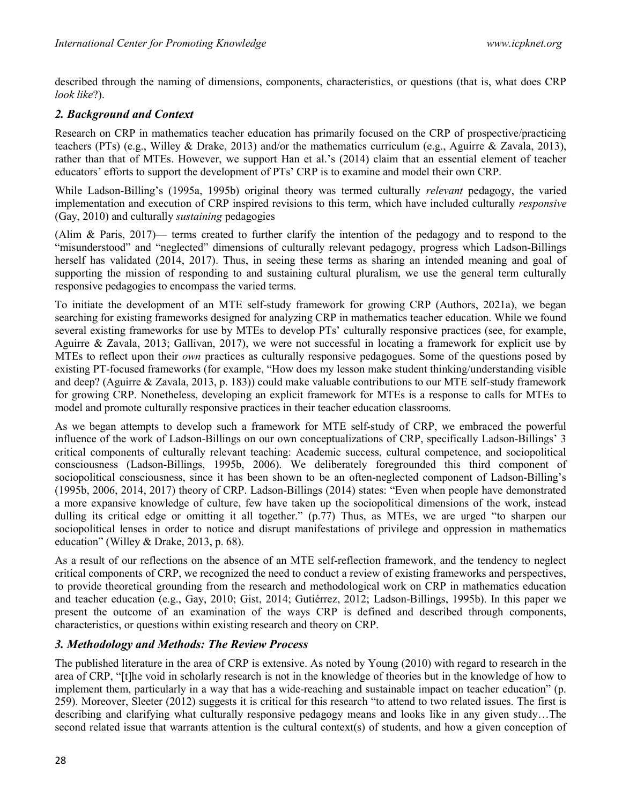described through the naming of dimensions, components, characteristics, or questions (that is, what does CRP look like?).

## 2. Background and Context

Research on CRP in mathematics teacher education has primarily focused on the CRP of prospective/practicing teachers (PTs) (e.g., Willey & Drake, 2013) and/or the mathematics curriculum (e.g., Aguirre & Zavala, 2013), rather than that of MTEs. However, we support Han et al.'s (2014) claim that an essential element of teacher educators' efforts to support the development of PTs' CRP is to examine and model their own CRP.

While Ladson-Billing's (1995a, 1995b) original theory was termed culturally *relevant* pedagogy, the varied implementation and execution of CRP inspired revisions to this term, which have included culturally responsive (Gay, 2010) and culturally sustaining pedagogies

(Alim & Paris, 2017)— terms created to further clarify the intention of the pedagogy and to respond to the "misunderstood" and "neglected" dimensions of culturally relevant pedagogy, progress which Ladson-Billings herself has validated (2014, 2017). Thus, in seeing these terms as sharing an intended meaning and goal of supporting the mission of responding to and sustaining cultural pluralism, we use the general term culturally responsive pedagogies to encompass the varied terms.

To initiate the development of an MTE self-study framework for growing CRP (Authors, 2021a), we began searching for existing frameworks designed for analyzing CRP in mathematics teacher education. While we found several existing frameworks for use by MTEs to develop PTs' culturally responsive practices (see, for example, Aguirre & Zavala, 2013; Gallivan, 2017), we were not successful in locating a framework for explicit use by MTEs to reflect upon their own practices as culturally responsive pedagogues. Some of the questions posed by existing PT-focused frameworks (for example, "How does my lesson make student thinking/understanding visible and deep? (Aguirre & Zavala, 2013, p. 183)) could make valuable contributions to our MTE self-study framework for growing CRP. Nonetheless, developing an explicit framework for MTEs is a response to calls for MTEs to model and promote culturally responsive practices in their teacher education classrooms.

As we began attempts to develop such a framework for MTE self-study of CRP, we embraced the powerful influence of the work of Ladson-Billings on our own conceptualizations of CRP, specifically Ladson-Billings' 3 critical components of culturally relevant teaching: Academic success, cultural competence, and sociopolitical consciousness (Ladson-Billings, 1995b, 2006). We deliberately foregrounded this third component of sociopolitical consciousness, since it has been shown to be an often-neglected component of Ladson-Billing's (1995b, 2006, 2014, 2017) theory of CRP. Ladson-Billings (2014) states: "Even when people have demonstrated a more expansive knowledge of culture, few have taken up the sociopolitical dimensions of the work, instead dulling its critical edge or omitting it all together." (p.77) Thus, as MTEs, we are urged "to sharpen our sociopolitical lenses in order to notice and disrupt manifestations of privilege and oppression in mathematics education" (Willey & Drake, 2013, p. 68).

As a result of our reflections on the absence of an MTE self-reflection framework, and the tendency to neglect critical components of CRP, we recognized the need to conduct a review of existing frameworks and perspectives, to provide theoretical grounding from the research and methodological work on CRP in mathematics education and teacher education (e.g., Gay, 2010; Gist, 2014; Gutiérrez, 2012; Ladson-Billings, 1995b). In this paper we present the outcome of an examination of the ways CRP is defined and described through components, characteristics, or questions within existing research and theory on CRP.

### 3. Methodology and Methods: The Review Process

The published literature in the area of CRP is extensive. As noted by Young (2010) with regard to research in the area of CRP, "[t]he void in scholarly research is not in the knowledge of theories but in the knowledge of how to implement them, particularly in a way that has a wide-reaching and sustainable impact on teacher education" (p. 259). Moreover, Sleeter (2012) suggests it is critical for this research "to attend to two related issues. The first is describing and clarifying what culturally responsive pedagogy means and looks like in any given study…The second related issue that warrants attention is the cultural context(s) of students, and how a given conception of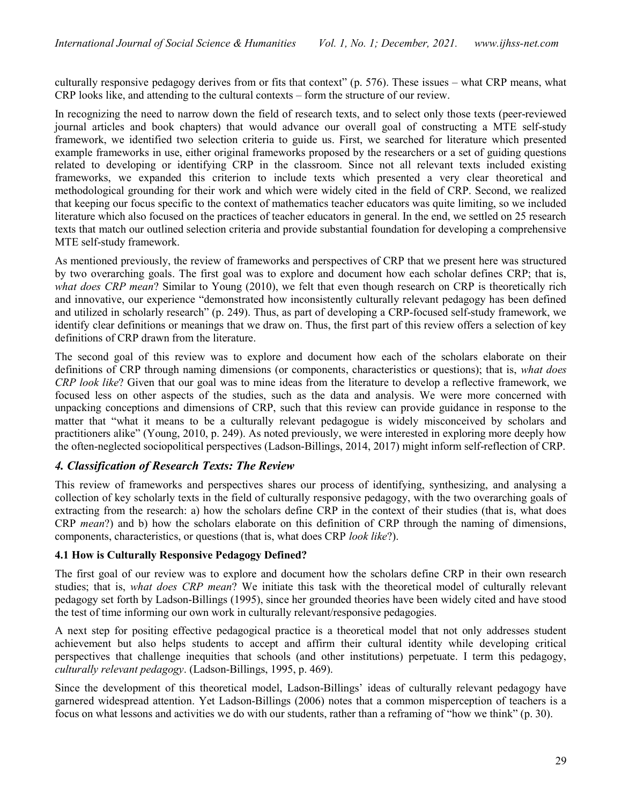culturally responsive pedagogy derives from or fits that context" (p. 576). These issues – what CRP means, what CRP looks like, and attending to the cultural contexts – form the structure of our review.

In recognizing the need to narrow down the field of research texts, and to select only those texts (peer-reviewed journal articles and book chapters) that would advance our overall goal of constructing a MTE self-study framework, we identified two selection criteria to guide us. First, we searched for literature which presented example frameworks in use, either original frameworks proposed by the researchers or a set of guiding questions related to developing or identifying CRP in the classroom. Since not all relevant texts included existing frameworks, we expanded this criterion to include texts which presented a very clear theoretical and methodological grounding for their work and which were widely cited in the field of CRP. Second, we realized that keeping our focus specific to the context of mathematics teacher educators was quite limiting, so we included literature which also focused on the practices of teacher educators in general. In the end, we settled on 25 research texts that match our outlined selection criteria and provide substantial foundation for developing a comprehensive MTE self-study framework.

As mentioned previously, the review of frameworks and perspectives of CRP that we present here was structured by two overarching goals. The first goal was to explore and document how each scholar defines CRP; that is, what does CRP mean? Similar to Young (2010), we felt that even though research on CRP is theoretically rich and innovative, our experience "demonstrated how inconsistently culturally relevant pedagogy has been defined and utilized in scholarly research" (p. 249). Thus, as part of developing a CRP-focused self-study framework, we identify clear definitions or meanings that we draw on. Thus, the first part of this review offers a selection of key definitions of CRP drawn from the literature.

The second goal of this review was to explore and document how each of the scholars elaborate on their definitions of CRP through naming dimensions (or components, characteristics or questions); that is, what does CRP look like? Given that our goal was to mine ideas from the literature to develop a reflective framework, we focused less on other aspects of the studies, such as the data and analysis. We were more concerned with unpacking conceptions and dimensions of CRP, such that this review can provide guidance in response to the matter that "what it means to be a culturally relevant pedagogue is widely misconceived by scholars and practitioners alike" (Young, 2010, p. 249). As noted previously, we were interested in exploring more deeply how the often-neglected sociopolitical perspectives (Ladson-Billings, 2014, 2017) might inform self-reflection of CRP.

### 4. Classification of Research Texts: The Review

This review of frameworks and perspectives shares our process of identifying, synthesizing, and analysing a collection of key scholarly texts in the field of culturally responsive pedagogy, with the two overarching goals of extracting from the research: a) how the scholars define CRP in the context of their studies (that is, what does CRP mean?) and b) how the scholars elaborate on this definition of CRP through the naming of dimensions, components, characteristics, or questions (that is, what does CRP look like?).

#### 4.1 How is Culturally Responsive Pedagogy Defined?

The first goal of our review was to explore and document how the scholars define CRP in their own research studies; that is, what does CRP mean? We initiate this task with the theoretical model of culturally relevant pedagogy set forth by Ladson-Billings (1995), since her grounded theories have been widely cited and have stood the test of time informing our own work in culturally relevant/responsive pedagogies.

A next step for positing effective pedagogical practice is a theoretical model that not only addresses student achievement but also helps students to accept and affirm their cultural identity while developing critical perspectives that challenge inequities that schools (and other institutions) perpetuate. I term this pedagogy, culturally relevant pedagogy. (Ladson-Billings, 1995, p. 469).

Since the development of this theoretical model, Ladson-Billings' ideas of culturally relevant pedagogy have garnered widespread attention. Yet Ladson-Billings (2006) notes that a common misperception of teachers is a focus on what lessons and activities we do with our students, rather than a reframing of "how we think" (p. 30).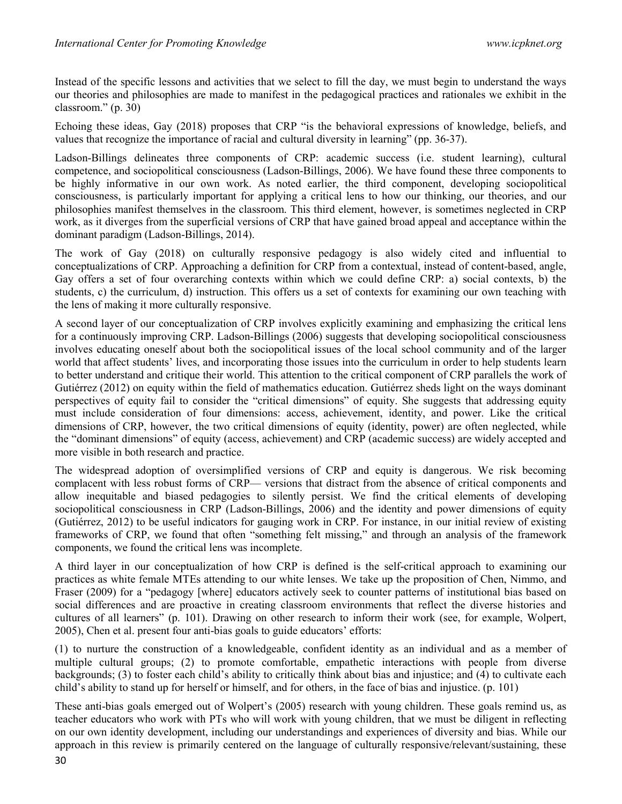Instead of the specific lessons and activities that we select to fill the day, we must begin to understand the ways our theories and philosophies are made to manifest in the pedagogical practices and rationales we exhibit in the classroom." (p. 30)

Echoing these ideas, Gay (2018) proposes that CRP "is the behavioral expressions of knowledge, beliefs, and values that recognize the importance of racial and cultural diversity in learning" (pp. 36-37).

Ladson-Billings delineates three components of CRP: academic success (i.e. student learning), cultural competence, and sociopolitical consciousness (Ladson-Billings, 2006). We have found these three components to be highly informative in our own work. As noted earlier, the third component, developing sociopolitical consciousness, is particularly important for applying a critical lens to how our thinking, our theories, and our philosophies manifest themselves in the classroom. This third element, however, is sometimes neglected in CRP work, as it diverges from the superficial versions of CRP that have gained broad appeal and acceptance within the dominant paradigm (Ladson-Billings, 2014).

The work of Gay (2018) on culturally responsive pedagogy is also widely cited and influential to conceptualizations of CRP. Approaching a definition for CRP from a contextual, instead of content-based, angle, Gay offers a set of four overarching contexts within which we could define CRP: a) social contexts, b) the students, c) the curriculum, d) instruction. This offers us a set of contexts for examining our own teaching with the lens of making it more culturally responsive.

A second layer of our conceptualization of CRP involves explicitly examining and emphasizing the critical lens for a continuously improving CRP. Ladson-Billings (2006) suggests that developing sociopolitical consciousness involves educating oneself about both the sociopolitical issues of the local school community and of the larger world that affect students' lives, and incorporating those issues into the curriculum in order to help students learn to better understand and critique their world. This attention to the critical component of CRP parallels the work of Gutiérrez (2012) on equity within the field of mathematics education. Gutiérrez sheds light on the ways dominant perspectives of equity fail to consider the "critical dimensions" of equity. She suggests that addressing equity must include consideration of four dimensions: access, achievement, identity, and power. Like the critical dimensions of CRP, however, the two critical dimensions of equity (identity, power) are often neglected, while the "dominant dimensions" of equity (access, achievement) and CRP (academic success) are widely accepted and more visible in both research and practice.

The widespread adoption of oversimplified versions of CRP and equity is dangerous. We risk becoming complacent with less robust forms of CRP— versions that distract from the absence of critical components and allow inequitable and biased pedagogies to silently persist. We find the critical elements of developing sociopolitical consciousness in CRP (Ladson-Billings, 2006) and the identity and power dimensions of equity (Gutiérrez, 2012) to be useful indicators for gauging work in CRP. For instance, in our initial review of existing frameworks of CRP, we found that often "something felt missing," and through an analysis of the framework components, we found the critical lens was incomplete.

A third layer in our conceptualization of how CRP is defined is the self-critical approach to examining our practices as white female MTEs attending to our white lenses. We take up the proposition of Chen, Nimmo, and Fraser (2009) for a "pedagogy [where] educators actively seek to counter patterns of institutional bias based on social differences and are proactive in creating classroom environments that reflect the diverse histories and cultures of all learners" (p. 101). Drawing on other research to inform their work (see, for example, Wolpert, 2005), Chen et al. present four anti-bias goals to guide educators' efforts:

(1) to nurture the construction of a knowledgeable, confident identity as an individual and as a member of multiple cultural groups; (2) to promote comfortable, empathetic interactions with people from diverse backgrounds; (3) to foster each child's ability to critically think about bias and injustice; and (4) to cultivate each child's ability to stand up for herself or himself, and for others, in the face of bias and injustice. (p. 101)

These anti-bias goals emerged out of Wolpert's (2005) research with young children. These goals remind us, as teacher educators who work with PTs who will work with young children, that we must be diligent in reflecting on our own identity development, including our understandings and experiences of diversity and bias. While our approach in this review is primarily centered on the language of culturally responsive/relevant/sustaining, these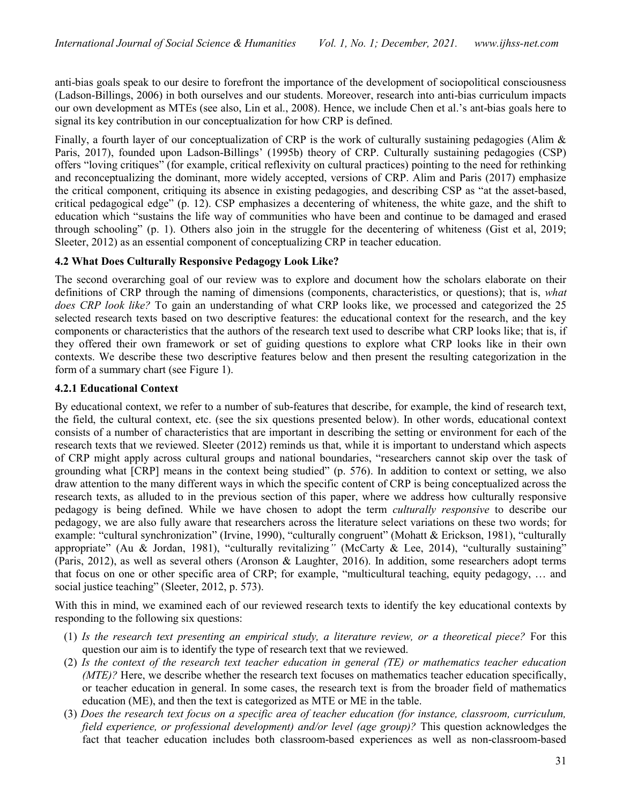anti-bias goals speak to our desire to forefront the importance of the development of sociopolitical consciousness (Ladson-Billings, 2006) in both ourselves and our students. Moreover, research into anti-bias curriculum impacts our own development as MTEs (see also, Lin et al., 2008). Hence, we include Chen et al.'s ant-bias goals here to signal its key contribution in our conceptualization for how CRP is defined.

Finally, a fourth layer of our conceptualization of CRP is the work of culturally sustaining pedagogies (Alim & Paris, 2017), founded upon Ladson-Billings' (1995b) theory of CRP. Culturally sustaining pedagogies (CSP) offers "loving critiques" (for example, critical reflexivity on cultural practices) pointing to the need for rethinking and reconceptualizing the dominant, more widely accepted, versions of CRP. Alim and Paris (2017) emphasize the critical component, critiquing its absence in existing pedagogies, and describing CSP as "at the asset-based, critical pedagogical edge" (p. 12). CSP emphasizes a decentering of whiteness, the white gaze, and the shift to education which "sustains the life way of communities who have been and continue to be damaged and erased through schooling" (p. 1). Others also join in the struggle for the decentering of whiteness (Gist et al, 2019; Sleeter, 2012) as an essential component of conceptualizing CRP in teacher education.

#### 4.2 What Does Culturally Responsive Pedagogy Look Like?

The second overarching goal of our review was to explore and document how the scholars elaborate on their definitions of CRP through the naming of dimensions (components, characteristics, or questions); that is, what does CRP look like? To gain an understanding of what CRP looks like, we processed and categorized the 25 selected research texts based on two descriptive features: the educational context for the research, and the key components or characteristics that the authors of the research text used to describe what CRP looks like; that is, if they offered their own framework or set of guiding questions to explore what CRP looks like in their own contexts. We describe these two descriptive features below and then present the resulting categorization in the form of a summary chart (see Figure 1).

#### 4.2.1 Educational Context

By educational context, we refer to a number of sub-features that describe, for example, the kind of research text, the field, the cultural context, etc. (see the six questions presented below). In other words, educational context consists of a number of characteristics that are important in describing the setting or environment for each of the research texts that we reviewed. Sleeter (2012) reminds us that, while it is important to understand which aspects of CRP might apply across cultural groups and national boundaries, "researchers cannot skip over the task of grounding what [CRP] means in the context being studied" (p. 576). In addition to context or setting, we also draw attention to the many different ways in which the specific content of CRP is being conceptualized across the research texts, as alluded to in the previous section of this paper, where we address how culturally responsive pedagogy is being defined. While we have chosen to adopt the term culturally responsive to describe our pedagogy, we are also fully aware that researchers across the literature select variations on these two words; for example: "cultural synchronization" (Irvine, 1990), "culturally congruent" (Mohatt & Erickson, 1981), "culturally appropriate" (Au & Jordan, 1981), "culturally revitalizing" (McCarty & Lee, 2014), "culturally sustaining" (Paris, 2012), as well as several others (Aronson & Laughter, 2016). In addition, some researchers adopt terms that focus on one or other specific area of CRP; for example, "multicultural teaching, equity pedagogy, … and social justice teaching" (Sleeter, 2012, p. 573).

With this in mind, we examined each of our reviewed research texts to identify the key educational contexts by responding to the following six questions:

- (1) Is the research text presenting an empirical study, a literature review, or a theoretical piece? For this question our aim is to identify the type of research text that we reviewed.
- (2) Is the context of the research text teacher education in general (TE) or mathematics teacher education  $(MTE)$ ? Here, we describe whether the research text focuses on mathematics teacher education specifically, or teacher education in general. In some cases, the research text is from the broader field of mathematics education (ME), and then the text is categorized as MTE or ME in the table.
- (3) Does the research text focus on a specific area of teacher education (for instance, classroom, curriculum, field experience, or professional development) and/or level (age group)? This question acknowledges the fact that teacher education includes both classroom-based experiences as well as non-classroom-based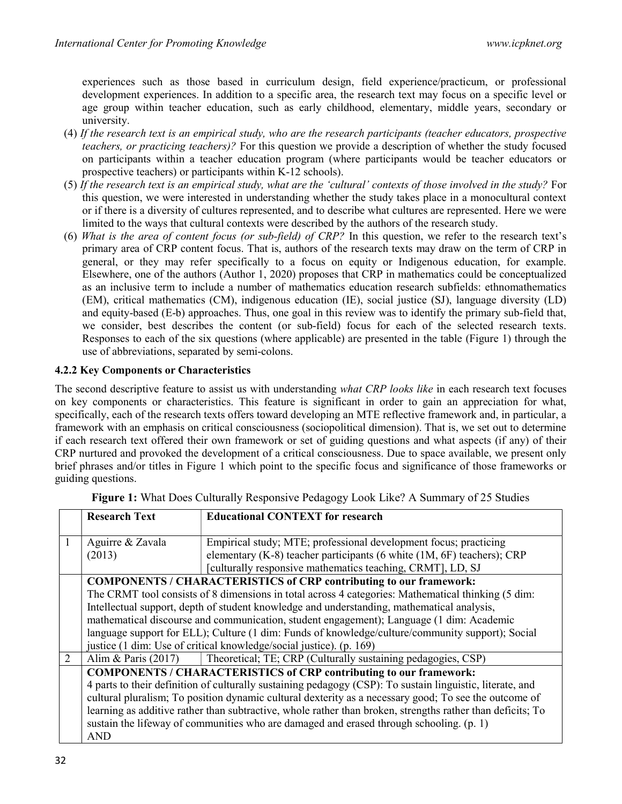experiences such as those based in curriculum design, field experience/practicum, or professional development experiences. In addition to a specific area, the research text may focus on a specific level or age group within teacher education, such as early childhood, elementary, middle years, secondary or university.

- (4) If the research text is an empirical study, who are the research participants (teacher educators, prospective teachers, or practicing teachers)? For this question we provide a description of whether the study focused on participants within a teacher education program (where participants would be teacher educators or prospective teachers) or participants within K-12 schools).
- (5) If the research text is an empirical study, what are the 'cultural' contexts of those involved in the study? For this question, we were interested in understanding whether the study takes place in a monocultural context or if there is a diversity of cultures represented, and to describe what cultures are represented. Here we were limited to the ways that cultural contexts were described by the authors of the research study.
- (6) What is the area of content focus (or sub-field) of CRP? In this question, we refer to the research text's primary area of CRP content focus. That is, authors of the research texts may draw on the term of CRP in general, or they may refer specifically to a focus on equity or Indigenous education, for example. Elsewhere, one of the authors (Author 1, 2020) proposes that CRP in mathematics could be conceptualized as an inclusive term to include a number of mathematics education research subfields: ethnomathematics (EM), critical mathematics (CM), indigenous education (IE), social justice (SJ), language diversity (LD) and equity-based (E-b) approaches. Thus, one goal in this review was to identify the primary sub-field that, we consider, best describes the content (or sub-field) focus for each of the selected research texts. Responses to each of the six questions (where applicable) are presented in the table (Figure 1) through the use of abbreviations, separated by semi-colons.

#### 4.2.2 Key Components or Characteristics

The second descriptive feature to assist us with understanding what CRP looks like in each research text focuses on key components or characteristics. This feature is significant in order to gain an appreciation for what, specifically, each of the research texts offers toward developing an MTE reflective framework and, in particular, a framework with an emphasis on critical consciousness (sociopolitical dimension). That is, we set out to determine if each research text offered their own framework or set of guiding questions and what aspects (if any) of their CRP nurtured and provoked the development of a critical consciousness. Due to space available, we present only brief phrases and/or titles in Figure 1 which point to the specific focus and significance of those frameworks or guiding questions.

|                | <b>Research Text</b>                                                                                       | <b>Educational CONTEXT for research</b>                                                                                                                                                                  |  |
|----------------|------------------------------------------------------------------------------------------------------------|----------------------------------------------------------------------------------------------------------------------------------------------------------------------------------------------------------|--|
|                | Aguirre & Zavala<br>(2013)                                                                                 | Empirical study; MTE; professional development focus; practicing<br>elementary (K-8) teacher participants (6 white (1M, 6F) teachers); CRP<br>[culturally responsive mathematics teaching, CRMT], LD, SJ |  |
|                | <b>COMPONENTS / CHARACTERISTICS of CRP contributing to our framework:</b>                                  |                                                                                                                                                                                                          |  |
|                | The CRMT tool consists of 8 dimensions in total across 4 categories: Mathematical thinking (5 dim:         |                                                                                                                                                                                                          |  |
|                | Intellectual support, depth of student knowledge and understanding, mathematical analysis,                 |                                                                                                                                                                                                          |  |
|                | mathematical discourse and communication, student engagement); Language (1 dim: Academic                   |                                                                                                                                                                                                          |  |
|                |                                                                                                            | language support for ELL); Culture (1 dim: Funds of knowledge/culture/community support); Social                                                                                                         |  |
|                | justice (1 dim: Use of critical knowledge/social justice). (p. 169)                                        |                                                                                                                                                                                                          |  |
| $\overline{2}$ | Alim & Paris $(2017)$                                                                                      | Theoretical; TE; CRP (Culturally sustaining pedagogies, CSP)                                                                                                                                             |  |
|                | <b>COMPONENTS / CHARACTERISTICS of CRP contributing to our framework:</b>                                  |                                                                                                                                                                                                          |  |
|                | 4 parts to their definition of culturally sustaining pedagogy (CSP): To sustain linguistic, literate, and  |                                                                                                                                                                                                          |  |
|                | cultural pluralism; To position dynamic cultural dexterity as a necessary good; To see the outcome of      |                                                                                                                                                                                                          |  |
|                | learning as additive rather than subtractive, whole rather than broken, strengths rather than deficits; To |                                                                                                                                                                                                          |  |
|                | sustain the lifeway of communities who are damaged and erased through schooling. (p. 1)                    |                                                                                                                                                                                                          |  |
|                | <b>AND</b>                                                                                                 |                                                                                                                                                                                                          |  |

Figure 1: What Does Culturally Responsive Pedagogy Look Like? A Summary of 25 Studies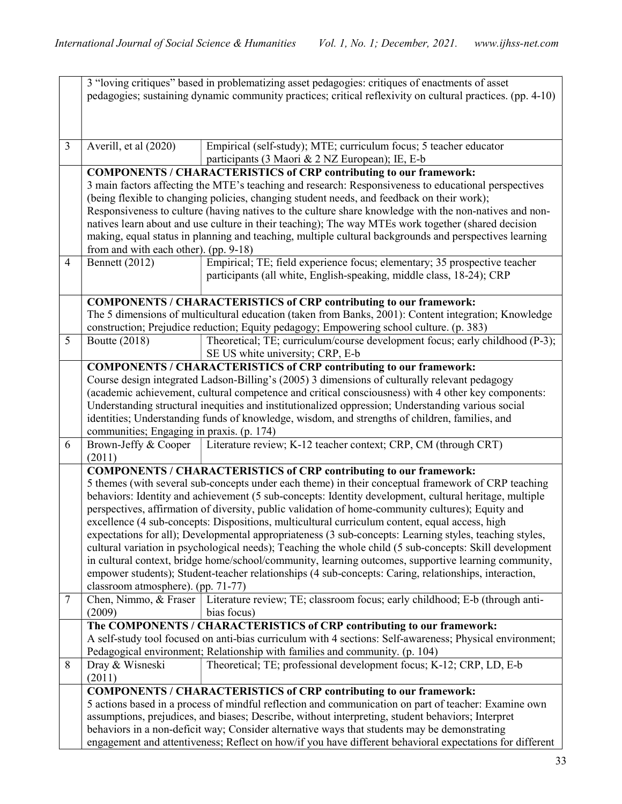|                                                                                                     | 3 "loving critiques" based in problematizing asset pedagogies: critiques of enactments of asset<br>pedagogies; sustaining dynamic community practices; critical reflexivity on cultural practices. (pp. 4-10) |                                                                                                                                                                                                             |  |  |
|-----------------------------------------------------------------------------------------------------|---------------------------------------------------------------------------------------------------------------------------------------------------------------------------------------------------------------|-------------------------------------------------------------------------------------------------------------------------------------------------------------------------------------------------------------|--|--|
|                                                                                                     |                                                                                                                                                                                                               |                                                                                                                                                                                                             |  |  |
|                                                                                                     |                                                                                                                                                                                                               |                                                                                                                                                                                                             |  |  |
| $\overline{3}$                                                                                      | Averill, et al (2020)                                                                                                                                                                                         | Empirical (self-study); MTE; curriculum focus; 5 teacher educator                                                                                                                                           |  |  |
|                                                                                                     |                                                                                                                                                                                                               | participants (3 Maori & 2 NZ European); IE, E-b                                                                                                                                                             |  |  |
|                                                                                                     |                                                                                                                                                                                                               | <b>COMPONENTS / CHARACTERISTICS of CRP contributing to our framework:</b>                                                                                                                                   |  |  |
|                                                                                                     |                                                                                                                                                                                                               | 3 main factors affecting the MTE's teaching and research: Responsiveness to educational perspectives                                                                                                        |  |  |
|                                                                                                     |                                                                                                                                                                                                               | (being flexible to changing policies, changing student needs, and feedback on their work);<br>Responsiveness to culture (having natives to the culture share knowledge with the non-natives and non-        |  |  |
|                                                                                                     | natives learn about and use culture in their teaching); The way MTEs work together (shared decision                                                                                                           |                                                                                                                                                                                                             |  |  |
|                                                                                                     | making, equal status in planning and teaching, multiple cultural backgrounds and perspectives learning                                                                                                        |                                                                                                                                                                                                             |  |  |
|                                                                                                     | from and with each other). (pp. 9-18)                                                                                                                                                                         |                                                                                                                                                                                                             |  |  |
| $\overline{4}$                                                                                      | <b>Bennett</b> (2012)                                                                                                                                                                                         | Empirical; TE; field experience focus; elementary; 35 prospective teacher                                                                                                                                   |  |  |
|                                                                                                     |                                                                                                                                                                                                               | participants (all white, English-speaking, middle class, 18-24); CRP                                                                                                                                        |  |  |
|                                                                                                     |                                                                                                                                                                                                               | <b>COMPONENTS / CHARACTERISTICS of CRP contributing to our framework:</b>                                                                                                                                   |  |  |
|                                                                                                     |                                                                                                                                                                                                               | The 5 dimensions of multicultural education (taken from Banks, 2001): Content integration; Knowledge                                                                                                        |  |  |
|                                                                                                     |                                                                                                                                                                                                               | construction; Prejudice reduction; Equity pedagogy; Empowering school culture. (p. 383)                                                                                                                     |  |  |
| 5                                                                                                   | Boutte (2018)                                                                                                                                                                                                 | Theoretical; TE; curriculum/course development focus; early childhood (P-3);<br>SE US white university; CRP, E-b                                                                                            |  |  |
|                                                                                                     |                                                                                                                                                                                                               | <b>COMPONENTS / CHARACTERISTICS of CRP contributing to our framework:</b>                                                                                                                                   |  |  |
|                                                                                                     | Course design integrated Ladson-Billing's (2005) 3 dimensions of culturally relevant pedagogy                                                                                                                 |                                                                                                                                                                                                             |  |  |
| (academic achievement, cultural competence and critical consciousness) with 4 other key components: |                                                                                                                                                                                                               |                                                                                                                                                                                                             |  |  |
| Understanding structural inequities and institutionalized oppression; Understanding various social  |                                                                                                                                                                                                               |                                                                                                                                                                                                             |  |  |
|                                                                                                     | identities; Understanding funds of knowledge, wisdom, and strengths of children, families, and<br>communities; Engaging in praxis. (p. 174)                                                                   |                                                                                                                                                                                                             |  |  |
| 6                                                                                                   | Brown-Jeffy & Cooper                                                                                                                                                                                          | Literature review; K-12 teacher context; CRP, CM (through CRT)                                                                                                                                              |  |  |
|                                                                                                     | (2011)                                                                                                                                                                                                        |                                                                                                                                                                                                             |  |  |
|                                                                                                     |                                                                                                                                                                                                               | <b>COMPONENTS / CHARACTERISTICS of CRP contributing to our framework:</b>                                                                                                                                   |  |  |
|                                                                                                     |                                                                                                                                                                                                               | 5 themes (with several sub-concepts under each theme) in their conceptual framework of CRP teaching                                                                                                         |  |  |
|                                                                                                     |                                                                                                                                                                                                               | behaviors: Identity and achievement (5 sub-concepts: Identity development, cultural heritage, multiple<br>perspectives, affirmation of diversity, public validation of home-community cultures); Equity and |  |  |
|                                                                                                     |                                                                                                                                                                                                               | excellence (4 sub-concepts: Dispositions, multicultural curriculum content, equal access, high                                                                                                              |  |  |
|                                                                                                     | expectations for all); Developmental appropriateness (3 sub-concepts: Learning styles, teaching styles,                                                                                                       |                                                                                                                                                                                                             |  |  |
|                                                                                                     | cultural variation in psychological needs); Teaching the whole child (5 sub-concepts: Skill development                                                                                                       |                                                                                                                                                                                                             |  |  |
|                                                                                                     |                                                                                                                                                                                                               | in cultural context, bridge home/school/community, learning outcomes, supportive learning community,                                                                                                        |  |  |
|                                                                                                     | empower students); Student-teacher relationships (4 sub-concepts: Caring, relationships, interaction,<br>classroom atmosphere). (pp. 71-77)                                                                   |                                                                                                                                                                                                             |  |  |
| 7                                                                                                   | Chen, Nimmo, & Fraser                                                                                                                                                                                         | Literature review; TE; classroom focus; early childhood; E-b (through anti-                                                                                                                                 |  |  |
|                                                                                                     | (2009)                                                                                                                                                                                                        | bias focus)                                                                                                                                                                                                 |  |  |
|                                                                                                     |                                                                                                                                                                                                               | The COMPONENTS / CHARACTERISTICS of CRP contributing to our framework:                                                                                                                                      |  |  |
|                                                                                                     |                                                                                                                                                                                                               | A self-study tool focused on anti-bias curriculum with 4 sections: Self-awareness; Physical environment;                                                                                                    |  |  |
| 8                                                                                                   | Dray & Wisneski                                                                                                                                                                                               | Pedagogical environment; Relationship with families and community. (p. 104)<br>Theoretical; TE; professional development focus; K-12; CRP, LD, E-b                                                          |  |  |
|                                                                                                     | (2011)                                                                                                                                                                                                        |                                                                                                                                                                                                             |  |  |
|                                                                                                     |                                                                                                                                                                                                               | <b>COMPONENTS / CHARACTERISTICS of CRP contributing to our framework:</b>                                                                                                                                   |  |  |
|                                                                                                     | 5 actions based in a process of mindful reflection and communication on part of teacher: Examine own                                                                                                          |                                                                                                                                                                                                             |  |  |
|                                                                                                     | assumptions, prejudices, and biases; Describe, without interpreting, student behaviors; Interpret                                                                                                             |                                                                                                                                                                                                             |  |  |
|                                                                                                     |                                                                                                                                                                                                               | behaviors in a non-deficit way; Consider alternative ways that students may be demonstrating                                                                                                                |  |  |
|                                                                                                     | engagement and attentiveness; Reflect on how/if you have different behavioral expectations for different                                                                                                      |                                                                                                                                                                                                             |  |  |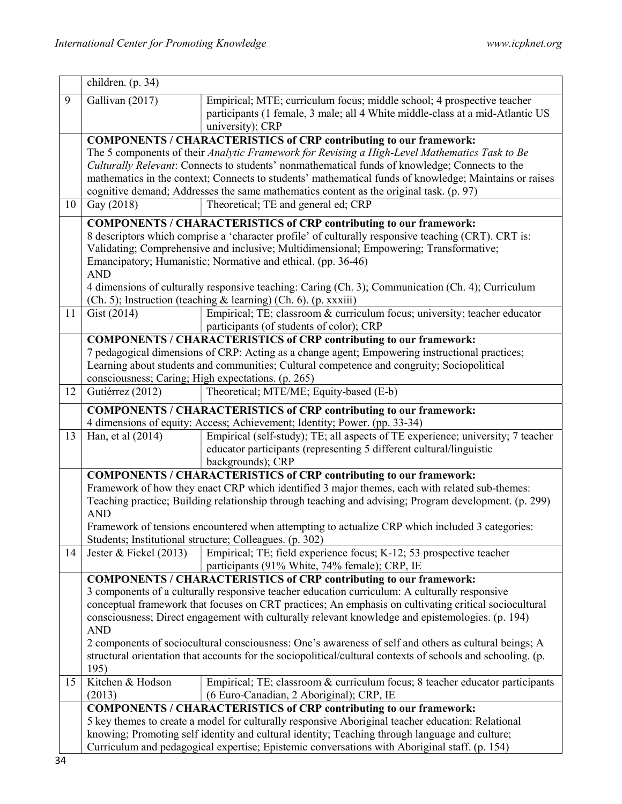|    | children. (p. 34)                                                                                                                                      |                                                                                                                                                                                                  |  |  |  |
|----|--------------------------------------------------------------------------------------------------------------------------------------------------------|--------------------------------------------------------------------------------------------------------------------------------------------------------------------------------------------------|--|--|--|
| 9  | Gallivan (2017)                                                                                                                                        | Empirical; MTE; curriculum focus; middle school; 4 prospective teacher                                                                                                                           |  |  |  |
|    |                                                                                                                                                        | participants (1 female, 3 male; all 4 White middle-class at a mid-Atlantic US                                                                                                                    |  |  |  |
|    |                                                                                                                                                        | university); CRP                                                                                                                                                                                 |  |  |  |
|    | <b>COMPONENTS / CHARACTERISTICS of CRP contributing to our framework:</b>                                                                              |                                                                                                                                                                                                  |  |  |  |
|    | The 5 components of their Analytic Framework for Revising a High-Level Mathematics Task to Be                                                          |                                                                                                                                                                                                  |  |  |  |
|    | Culturally Relevant: Connects to students' nonmathematical funds of knowledge; Connects to the                                                         |                                                                                                                                                                                                  |  |  |  |
|    |                                                                                                                                                        | mathematics in the context; Connects to students' mathematical funds of knowledge; Maintains or raises<br>cognitive demand; Addresses the same mathematics content as the original task. (p. 97) |  |  |  |
| 10 | Gay (2018)                                                                                                                                             | Theoretical; TE and general ed; CRP                                                                                                                                                              |  |  |  |
|    |                                                                                                                                                        |                                                                                                                                                                                                  |  |  |  |
|    |                                                                                                                                                        | <b>COMPONENTS / CHARACTERISTICS of CRP contributing to our framework:</b>                                                                                                                        |  |  |  |
|    | 8 descriptors which comprise a 'character profile' of culturally responsive teaching (CRT). CRT is:                                                    |                                                                                                                                                                                                  |  |  |  |
|    | Validating; Comprehensive and inclusive; Multidimensional; Empowering; Transformative;<br>Emancipatory; Humanistic; Normative and ethical. (pp. 36-46) |                                                                                                                                                                                                  |  |  |  |
|    | <b>AND</b>                                                                                                                                             |                                                                                                                                                                                                  |  |  |  |
|    | 4 dimensions of culturally responsive teaching: Caring (Ch. 3); Communication (Ch. 4); Curriculum                                                      |                                                                                                                                                                                                  |  |  |  |
|    |                                                                                                                                                        | (Ch. 5); Instruction (teaching & learning) (Ch. 6). (p. xxxiii)                                                                                                                                  |  |  |  |
| 11 | Gist (2014)                                                                                                                                            | Empirical; TE; classroom & curriculum focus; university; teacher educator                                                                                                                        |  |  |  |
|    |                                                                                                                                                        | participants (of students of color); CRP                                                                                                                                                         |  |  |  |
|    |                                                                                                                                                        | <b>COMPONENTS / CHARACTERISTICS of CRP contributing to our framework:</b>                                                                                                                        |  |  |  |
|    | 7 pedagogical dimensions of CRP: Acting as a change agent; Empowering instructional practices;                                                         |                                                                                                                                                                                                  |  |  |  |
|    | Learning about students and communities; Cultural competence and congruity; Sociopolitical<br>consciousness; Caring; High expectations. (p. 265)       |                                                                                                                                                                                                  |  |  |  |
| 12 | Gutiérrez (2012)                                                                                                                                       | Theoretical; MTE/ME; Equity-based (E-b)                                                                                                                                                          |  |  |  |
|    |                                                                                                                                                        |                                                                                                                                                                                                  |  |  |  |
|    |                                                                                                                                                        | <b>COMPONENTS / CHARACTERISTICS of CRP contributing to our framework:</b>                                                                                                                        |  |  |  |
| 13 | Han, et al (2014)                                                                                                                                      | 4 dimensions of equity: Access; Achievement; Identity; Power. (pp. 33-34)<br>Empirical (self-study); TE; all aspects of TE experience; university; 7 teacher                                     |  |  |  |
|    |                                                                                                                                                        | educator participants (representing 5 different cultural/linguistic                                                                                                                              |  |  |  |
|    |                                                                                                                                                        | backgrounds); CRP                                                                                                                                                                                |  |  |  |
|    |                                                                                                                                                        | <b>COMPONENTS / CHARACTERISTICS of CRP contributing to our framework:</b>                                                                                                                        |  |  |  |
|    | Framework of how they enact CRP which identified 3 major themes, each with related sub-themes:                                                         |                                                                                                                                                                                                  |  |  |  |
|    |                                                                                                                                                        | Teaching practice; Building relationship through teaching and advising; Program development. (p. 299)                                                                                            |  |  |  |
|    | <b>AND</b>                                                                                                                                             |                                                                                                                                                                                                  |  |  |  |
|    |                                                                                                                                                        | Framework of tensions encountered when attempting to actualize CRP which included 3 categories:                                                                                                  |  |  |  |
| 14 | Jester & Fickel $(2013)$                                                                                                                               | Students; Institutional structure; Colleagues. (p. 302)<br>Empirical; TE; field experience focus; K-12; 53 prospective teacher                                                                   |  |  |  |
|    |                                                                                                                                                        | participants (91% White, 74% female); CRP, IE                                                                                                                                                    |  |  |  |
|    |                                                                                                                                                        | <b>COMPONENTS / CHARACTERISTICS of CRP contributing to our framework:</b>                                                                                                                        |  |  |  |
|    |                                                                                                                                                        | 3 components of a culturally responsive teacher education curriculum: A culturally responsive                                                                                                    |  |  |  |
|    |                                                                                                                                                        | conceptual framework that focuses on CRT practices; An emphasis on cultivating critical sociocultural                                                                                            |  |  |  |
|    |                                                                                                                                                        | consciousness; Direct engagement with culturally relevant knowledge and epistemologies. (p. 194)                                                                                                 |  |  |  |
|    | <b>AND</b>                                                                                                                                             |                                                                                                                                                                                                  |  |  |  |
|    |                                                                                                                                                        | 2 components of sociocultural consciousness: One's awareness of self and others as cultural beings; A                                                                                            |  |  |  |
|    | 195)                                                                                                                                                   | structural orientation that accounts for the sociopolitical/cultural contexts of schools and schooling. (p.                                                                                      |  |  |  |
| 15 | Kitchen & Hodson                                                                                                                                       | Empirical; TE; classroom & curriculum focus; 8 teacher educator participants                                                                                                                     |  |  |  |
|    | (2013)                                                                                                                                                 | (6 Euro-Canadian, 2 Aboriginal); CRP, IE                                                                                                                                                         |  |  |  |
|    |                                                                                                                                                        | <b>COMPONENTS / CHARACTERISTICS of CRP contributing to our framework:</b>                                                                                                                        |  |  |  |
|    | 5 key themes to create a model for culturally responsive Aboriginal teacher education: Relational                                                      |                                                                                                                                                                                                  |  |  |  |
|    | knowing; Promoting self identity and cultural identity; Teaching through language and culture;                                                         |                                                                                                                                                                                                  |  |  |  |
|    | Curriculum and pedagogical expertise; Epistemic conversations with Aboriginal staff. (p. 154)                                                          |                                                                                                                                                                                                  |  |  |  |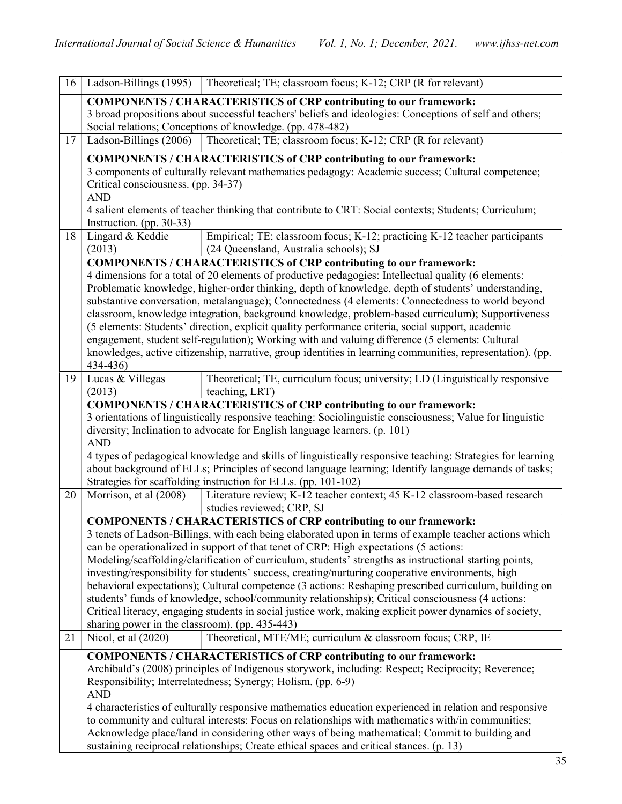| 16 | Ladson-Billings (1995)                                                                                                                                                                  | Theoretical; TE; classroom focus; K-12; CRP (R for relevant)                                               |  |  |
|----|-----------------------------------------------------------------------------------------------------------------------------------------------------------------------------------------|------------------------------------------------------------------------------------------------------------|--|--|
|    |                                                                                                                                                                                         | <b>COMPONENTS / CHARACTERISTICS of CRP contributing to our framework:</b>                                  |  |  |
|    | 3 broad propositions about successful teachers' beliefs and ideologies: Conceptions of self and others;                                                                                 |                                                                                                            |  |  |
|    |                                                                                                                                                                                         | Social relations; Conceptions of knowledge. (pp. 478-482)                                                  |  |  |
| 17 | Ladson-Billings (2006)                                                                                                                                                                  | Theoretical; TE; classroom focus; K-12; CRP (R for relevant)                                               |  |  |
|    |                                                                                                                                                                                         | <b>COMPONENTS / CHARACTERISTICS of CRP contributing to our framework:</b>                                  |  |  |
|    |                                                                                                                                                                                         | 3 components of culturally relevant mathematics pedagogy: Academic success; Cultural competence;           |  |  |
|    | Critical consciousness. (pp. 34-37)                                                                                                                                                     |                                                                                                            |  |  |
|    | <b>AND</b>                                                                                                                                                                              |                                                                                                            |  |  |
|    | 4 salient elements of teacher thinking that contribute to CRT: Social contexts; Students; Curriculum;                                                                                   |                                                                                                            |  |  |
|    | Instruction. (pp. 30-33)                                                                                                                                                                |                                                                                                            |  |  |
| 18 | Lingard & Keddie                                                                                                                                                                        | Empirical; TE; classroom focus; K-12; practicing K-12 teacher participants                                 |  |  |
|    | (2013)                                                                                                                                                                                  | (24 Queensland, Australia schools); SJ                                                                     |  |  |
|    |                                                                                                                                                                                         | <b>COMPONENTS / CHARACTERISTICS of CRP contributing to our framework:</b>                                  |  |  |
|    | 4 dimensions for a total of 20 elements of productive pedagogies: Intellectual quality (6 elements:                                                                                     |                                                                                                            |  |  |
|    | Problematic knowledge, higher-order thinking, depth of knowledge, depth of students' understanding,                                                                                     |                                                                                                            |  |  |
|    |                                                                                                                                                                                         | substantive conversation, metalanguage); Connectedness (4 elements: Connectedness to world beyond          |  |  |
|    |                                                                                                                                                                                         | classroom, knowledge integration, background knowledge, problem-based curriculum); Supportiveness          |  |  |
|    |                                                                                                                                                                                         | (5 elements: Students' direction, explicit quality performance criteria, social support, academic          |  |  |
|    |                                                                                                                                                                                         | engagement, student self-regulation); Working with and valuing difference (5 elements: Cultural            |  |  |
|    |                                                                                                                                                                                         | knowledges, active citizenship, narrative, group identities in learning communities, representation). (pp. |  |  |
|    | 434-436)                                                                                                                                                                                |                                                                                                            |  |  |
| 19 | Lucas & Villegas                                                                                                                                                                        | Theoretical; TE, curriculum focus; university; LD (Linguistically responsive                               |  |  |
|    | (2013)                                                                                                                                                                                  | teaching, LRT)                                                                                             |  |  |
|    |                                                                                                                                                                                         | <b>COMPONENTS / CHARACTERISTICS of CRP contributing to our framework:</b>                                  |  |  |
|    | 3 orientations of linguistically responsive teaching: Sociolinguistic consciousness; Value for linguistic<br>diversity; Inclination to advocate for English language learners. (p. 101) |                                                                                                            |  |  |
|    | <b>AND</b>                                                                                                                                                                              |                                                                                                            |  |  |
|    | 4 types of pedagogical knowledge and skills of linguistically responsive teaching: Strategies for learning                                                                              |                                                                                                            |  |  |
|    |                                                                                                                                                                                         | about background of ELLs; Principles of second language learning; Identify language demands of tasks;      |  |  |
|    |                                                                                                                                                                                         | Strategies for scaffolding instruction for ELLs. (pp. 101-102)                                             |  |  |
| 20 | Morrison, et al (2008)                                                                                                                                                                  | Literature review; K-12 teacher context; 45 K-12 classroom-based research                                  |  |  |
|    |                                                                                                                                                                                         | studies reviewed; CRP, SJ                                                                                  |  |  |
|    |                                                                                                                                                                                         | <b>COMPONENTS / CHARACTERISTICS of CRP contributing to our framework:</b>                                  |  |  |
|    |                                                                                                                                                                                         | 3 tenets of Ladson-Billings, with each being elaborated upon in terms of example teacher actions which     |  |  |
|    |                                                                                                                                                                                         | can be operationalized in support of that tenet of CRP: High expectations (5 actions:                      |  |  |
|    |                                                                                                                                                                                         | Modeling/scaffolding/clarification of curriculum, students' strengths as instructional starting points,    |  |  |
|    |                                                                                                                                                                                         | investing/responsibility for students' success, creating/nurturing cooperative environments, high          |  |  |
|    |                                                                                                                                                                                         | behavioral expectations); Cultural competence (3 actions: Reshaping prescribed curriculum, building on     |  |  |
|    |                                                                                                                                                                                         | students' funds of knowledge, school/community relationships); Critical consciousness (4 actions:          |  |  |
|    |                                                                                                                                                                                         | Critical literacy, engaging students in social justice work, making explicit power dynamics of society,    |  |  |
|    | sharing power in the classroom). (pp. 435-443)                                                                                                                                          |                                                                                                            |  |  |
| 21 | Nicol, et al (2020)                                                                                                                                                                     | Theoretical, MTE/ME; curriculum & classroom focus; CRP, IE                                                 |  |  |
|    |                                                                                                                                                                                         | <b>COMPONENTS / CHARACTERISTICS of CRP contributing to our framework:</b>                                  |  |  |
|    |                                                                                                                                                                                         | Archibald's (2008) principles of Indigenous storywork, including: Respect; Reciprocity; Reverence;         |  |  |
|    |                                                                                                                                                                                         | Responsibility; Interrelatedness; Synergy; Holism. (pp. 6-9)                                               |  |  |
|    | <b>AND</b>                                                                                                                                                                              |                                                                                                            |  |  |
|    |                                                                                                                                                                                         | 4 characteristics of culturally responsive mathematics education experienced in relation and responsive    |  |  |
|    | to community and cultural interests: Focus on relationships with mathematics with/in communities;                                                                                       |                                                                                                            |  |  |
|    |                                                                                                                                                                                         | Acknowledge place/land in considering other ways of being mathematical; Commit to building and             |  |  |
|    | sustaining reciprocal relationships; Create ethical spaces and critical stances. (p. 13)                                                                                                |                                                                                                            |  |  |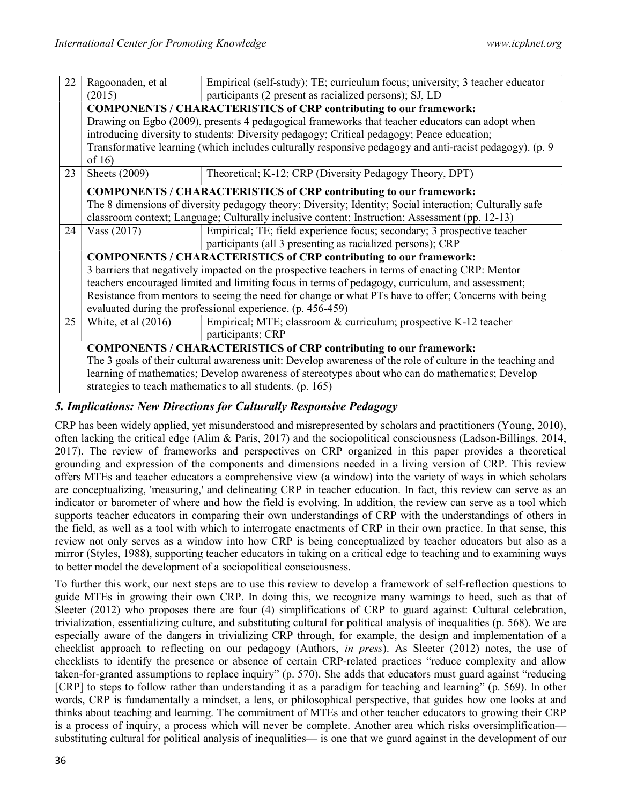| 22 | Ragoonaden, et al                                                                                                  | Empirical (self-study); TE; curriculum focus; university; 3 teacher educator |  |
|----|--------------------------------------------------------------------------------------------------------------------|------------------------------------------------------------------------------|--|
|    | (2015)                                                                                                             | participants (2 present as racialized persons); SJ, LD                       |  |
|    | <b>COMPONENTS / CHARACTERISTICS of CRP contributing to our framework:</b>                                          |                                                                              |  |
|    | Drawing on Egbo (2009), presents 4 pedagogical frameworks that teacher educators can adopt when                    |                                                                              |  |
|    | introducing diversity to students: Diversity pedagogy; Critical pedagogy; Peace education;                         |                                                                              |  |
|    | Transformative learning (which includes culturally responsive pedagogy and anti-racist pedagogy). (p. 9<br>of $16$ |                                                                              |  |
| 23 | Sheets (2009)                                                                                                      | Theoretical; K-12; CRP (Diversity Pedagogy Theory, DPT)                      |  |
|    | <b>COMPONENTS / CHARACTERISTICS of CRP contributing to our framework:</b>                                          |                                                                              |  |
|    | The 8 dimensions of diversity pedagogy theory: Diversity; Identity; Social interaction; Culturally safe            |                                                                              |  |
|    | classroom context; Language; Culturally inclusive content; Instruction; Assessment (pp. 12-13)                     |                                                                              |  |
| 24 | Vass $(2017)$                                                                                                      | Empirical; TE; field experience focus; secondary; 3 prospective teacher      |  |
|    |                                                                                                                    | participants (all 3 presenting as racialized persons); CRP                   |  |
|    |                                                                                                                    | <b>COMPONENTS / CHARACTERISTICS of CRP contributing to our framework:</b>    |  |
|    | 3 barriers that negatively impacted on the prospective teachers in terms of enacting CRP: Mentor                   |                                                                              |  |
|    | teachers encouraged limited and limiting focus in terms of pedagogy, curriculum, and assessment;                   |                                                                              |  |
|    | Resistance from mentors to seeing the need for change or what PTs have to offer; Concerns with being               |                                                                              |  |
|    | evaluated during the professional experience. (p. 456-459)                                                         |                                                                              |  |
| 25 | White, et al $(2016)$                                                                                              | Empirical; MTE; classroom & curriculum; prospective K-12 teacher             |  |
|    |                                                                                                                    | participants; CRP                                                            |  |
|    |                                                                                                                    | <b>COMPONENTS / CHARACTERISTICS of CRP contributing to our framework:</b>    |  |
|    | The 3 goals of their cultural awareness unit: Develop awareness of the role of culture in the teaching and         |                                                                              |  |
|    | learning of mathematics; Develop awareness of stereotypes about who can do mathematics; Develop                    |                                                                              |  |
|    | strategies to teach mathematics to all students. (p. 165)                                                          |                                                                              |  |

# 5. Implications: New Directions for Culturally Responsive Pedagogy

CRP has been widely applied, yet misunderstood and misrepresented by scholars and practitioners (Young, 2010), often lacking the critical edge (Alim & Paris, 2017) and the sociopolitical consciousness (Ladson-Billings, 2014, 2017). The review of frameworks and perspectives on CRP organized in this paper provides a theoretical grounding and expression of the components and dimensions needed in a living version of CRP. This review offers MTEs and teacher educators a comprehensive view (a window) into the variety of ways in which scholars are conceptualizing, 'measuring,' and delineating CRP in teacher education. In fact, this review can serve as an indicator or barometer of where and how the field is evolving. In addition, the review can serve as a tool which supports teacher educators in comparing their own understandings of CRP with the understandings of others in the field, as well as a tool with which to interrogate enactments of CRP in their own practice. In that sense, this review not only serves as a window into how CRP is being conceptualized by teacher educators but also as a mirror (Styles, 1988), supporting teacher educators in taking on a critical edge to teaching and to examining ways to better model the development of a sociopolitical consciousness.

To further this work, our next steps are to use this review to develop a framework of self-reflection questions to guide MTEs in growing their own CRP. In doing this, we recognize many warnings to heed, such as that of Sleeter (2012) who proposes there are four (4) simplifications of CRP to guard against: Cultural celebration, trivialization, essentializing culture, and substituting cultural for political analysis of inequalities (p. 568). We are especially aware of the dangers in trivializing CRP through, for example, the design and implementation of a checklist approach to reflecting on our pedagogy (Authors, in press). As Sleeter (2012) notes, the use of checklists to identify the presence or absence of certain CRP-related practices "reduce complexity and allow taken-for-granted assumptions to replace inquiry" (p. 570). She adds that educators must guard against "reducing [CRP] to steps to follow rather than understanding it as a paradigm for teaching and learning" (p. 569). In other words, CRP is fundamentally a mindset, a lens, or philosophical perspective, that guides how one looks at and thinks about teaching and learning. The commitment of MTEs and other teacher educators to growing their CRP is a process of inquiry, a process which will never be complete. Another area which risks oversimplification substituting cultural for political analysis of inequalities— is one that we guard against in the development of our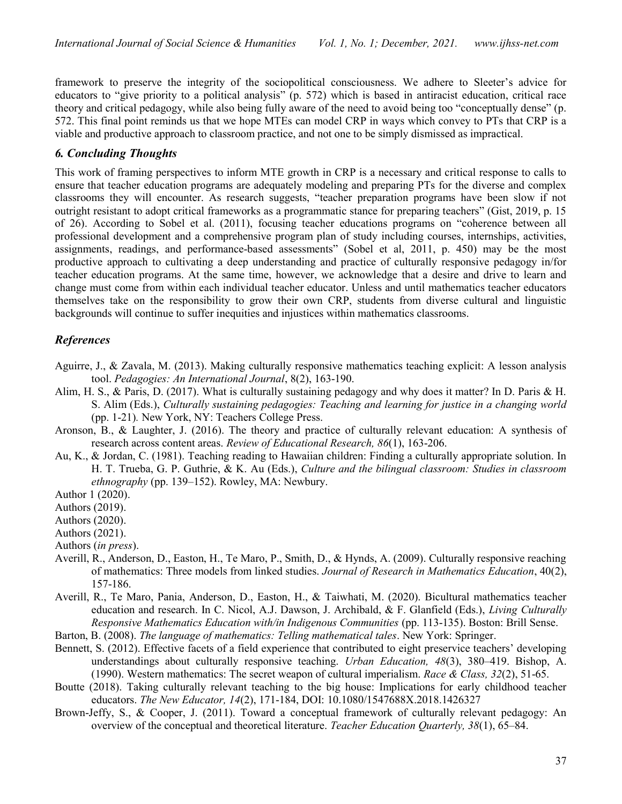framework to preserve the integrity of the sociopolitical consciousness. We adhere to Sleeter's advice for educators to "give priority to a political analysis" (p. 572) which is based in antiracist education, critical race theory and critical pedagogy, while also being fully aware of the need to avoid being too "conceptually dense" (p. 572. This final point reminds us that we hope MTEs can model CRP in ways which convey to PTs that CRP is a viable and productive approach to classroom practice, and not one to be simply dismissed as impractical.

### 6. Concluding Thoughts

This work of framing perspectives to inform MTE growth in CRP is a necessary and critical response to calls to ensure that teacher education programs are adequately modeling and preparing PTs for the diverse and complex classrooms they will encounter. As research suggests, "teacher preparation programs have been slow if not outright resistant to adopt critical frameworks as a programmatic stance for preparing teachers" (Gist, 2019, p. 15 of 26). According to Sobel et al. (2011), focusing teacher educations programs on "coherence between all professional development and a comprehensive program plan of study including courses, internships, activities, assignments, readings, and performance-based assessments" (Sobel et al, 2011, p. 450) may be the most productive approach to cultivating a deep understanding and practice of culturally responsive pedagogy in/for teacher education programs. At the same time, however, we acknowledge that a desire and drive to learn and change must come from within each individual teacher educator. Unless and until mathematics teacher educators themselves take on the responsibility to grow their own CRP, students from diverse cultural and linguistic backgrounds will continue to suffer inequities and injustices within mathematics classrooms.

#### References

- Aguirre, J., & Zavala, M. (2013). Making culturally responsive mathematics teaching explicit: A lesson analysis tool. Pedagogies: An International Journal, 8(2), 163-190.
- Alim, H. S., & Paris, D. (2017). What is culturally sustaining pedagogy and why does it matter? In D. Paris & H. S. Alim (Eds.), Culturally sustaining pedagogies: Teaching and learning for justice in a changing world (pp. 1-21). New York, NY: Teachers College Press.
- Aronson, B., & Laughter, J. (2016). The theory and practice of culturally relevant education: A synthesis of research across content areas. Review of Educational Research, 86(1), 163-206.
- Au, K., & Jordan, C. (1981). Teaching reading to Hawaiian children: Finding a culturally appropriate solution. In H. T. Trueba, G. P. Guthrie, & K. Au (Eds.), Culture and the bilingual classroom: Studies in classroom ethnography (pp. 139–152). Rowley, MA: Newbury.
- Author 1 (2020).
- Authors (2019).
- Authors (2020).
- Authors (2021).
- Authors (in press).
- Averill, R., Anderson, D., Easton, H., Te Maro, P., Smith, D., & Hynds, A. (2009). Culturally responsive reaching of mathematics: Three models from linked studies. Journal of Research in Mathematics Education, 40(2), 157-186.
- Averill, R., Te Maro, Pania, Anderson, D., Easton, H., & Taiwhati, M. (2020). Bicultural mathematics teacher education and research. In C. Nicol, A.J. Dawson, J. Archibald, & F. Glanfield (Eds.), Living Culturally Responsive Mathematics Education with/in Indigenous Communities (pp. 113-135). Boston: Brill Sense.
- Barton, B. (2008). The language of mathematics: Telling mathematical tales. New York: Springer.
- Bennett, S. (2012). Effective facets of a field experience that contributed to eight preservice teachers' developing understandings about culturally responsive teaching. *Urban Education*, 48(3), 380–419. Bishop, A. (1990). Western mathematics: The secret weapon of cultural imperialism. Race & Class,  $32(2)$ , 51-65.
- Boutte (2018). Taking culturally relevant teaching to the big house: Implications for early childhood teacher educators. The New Educator, 14(2), 171-184, DOI: 10.1080/1547688X.2018.1426327
- Brown-Jeffy, S., & Cooper, J. (2011). Toward a conceptual framework of culturally relevant pedagogy: An overview of the conceptual and theoretical literature. Teacher Education Ouarterly, 38(1), 65–84.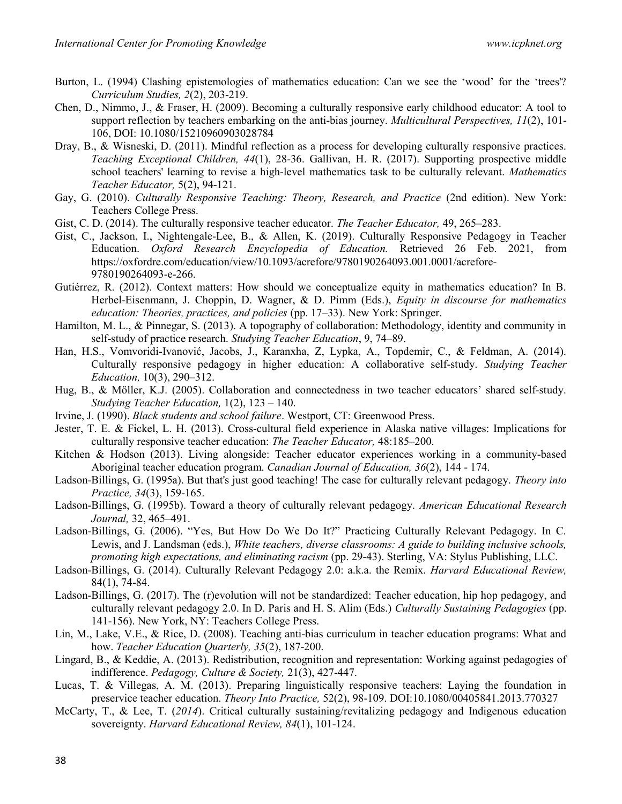- Burton, L. (1994) Clashing epistemologies of mathematics education: Can we see the 'wood' for the 'trees'? Curriculum Studies, 2(2), 203-219.
- Chen, D., Nimmo, J., & Fraser, H. (2009). Becoming a culturally responsive early childhood educator: A tool to support reflection by teachers embarking on the anti-bias journey. *Multicultural Perspectives*,  $11(2)$ , 101-106, DOI: 10.1080/15210960903028784
- Dray, B., & Wisneski, D. (2011). Mindful reflection as a process for developing culturally responsive practices. Teaching Exceptional Children, 44(1), 28-36. Gallivan, H. R. (2017). Supporting prospective middle school teachers' learning to revise a high-level mathematics task to be culturally relevant. Mathematics Teacher Educator, 5(2), 94-121.
- Gay, G. (2010). Culturally Responsive Teaching: Theory, Research, and Practice (2nd edition). New York: Teachers College Press.
- Gist, C. D. (2014). The culturally responsive teacher educator. The Teacher Educator, 49, 265–283.
- Gist, C., Jackson, I., Nightengale-Lee, B., & Allen, K. (2019). Culturally Responsive Pedagogy in Teacher Education. Oxford Research Encyclopedia of Education. Retrieved 26 Feb. 2021, from https://oxfordre.com/education/view/10.1093/acrefore/9780190264093.001.0001/acrefore-9780190264093-e-266.
- Gutiérrez, R. (2012). Context matters: How should we conceptualize equity in mathematics education? In B. Herbel-Eisenmann, J. Choppin, D. Wagner, & D. Pimm (Eds.), Equity in discourse for mathematics education: Theories, practices, and policies (pp. 17–33). New York: Springer.
- Hamilton, M. L., & Pinnegar, S. (2013). A topography of collaboration: Methodology, identity and community in self-study of practice research. Studying Teacher Education, 9, 74–89.
- Han, H.S., Vomvoridi-Ivanović, Jacobs, J., Karanxha, Z, Lypka, A., Topdemir, C., & Feldman, A. (2014). Culturally responsive pedagogy in higher education: A collaborative self-study. Studying Teacher Education, 10(3), 290–312.
- Hug, B., & Möller, K.J. (2005). Collaboration and connectedness in two teacher educators' shared self-study. Studying Teacher Education,  $1(2)$ ,  $123 - 140$ .
- Irvine, J. (1990). Black students and school failure. Westport, CT: Greenwood Press.
- Jester, T. E. & Fickel, L. H. (2013). Cross-cultural field experience in Alaska native villages: Implications for culturally responsive teacher education: The Teacher Educator, 48:185–200.
- Kitchen & Hodson (2013). Living alongside: Teacher educator experiences working in a community-based Aboriginal teacher education program. Canadian Journal of Education, 36(2), 144 - 174.
- Ladson-Billings, G. (1995a). But that's just good teaching! The case for culturally relevant pedagogy. Theory into Practice, 34(3), 159-165.
- Ladson-Billings, G. (1995b). Toward a theory of culturally relevant pedagogy. American Educational Research Journal, 32, 465–491.
- Ladson-Billings, G. (2006). "Yes, But How Do We Do It?" Practicing Culturally Relevant Pedagogy. In C. Lewis, and J. Landsman (eds.), White teachers, diverse classrooms: A guide to building inclusive schools, promoting high expectations, and eliminating racism (pp. 29-43). Sterling, VA: Stylus Publishing, LLC.
- Ladson-Billings, G. (2014). Culturally Relevant Pedagogy 2.0: a.k.a. the Remix. Harvard Educational Review, 84(1), 74-84.
- Ladson-Billings, G. (2017). The (r)evolution will not be standardized: Teacher education, hip hop pedagogy, and culturally relevant pedagogy 2.0. In D. Paris and H. S. Alim (Eds.) Culturally Sustaining Pedagogies (pp. 141-156). New York, NY: Teachers College Press.
- Lin, M., Lake, V.E., & Rice, D. (2008). Teaching anti-bias curriculum in teacher education programs: What and how. Teacher Education Quarterly, 35(2), 187-200.
- Lingard, B., & Keddie, A. (2013). Redistribution, recognition and representation: Working against pedagogies of indifference. Pedagogy, Culture & Society, 21(3), 427-447.
- Lucas, T. & Villegas, A. M. (2013). Preparing linguistically responsive teachers: Laying the foundation in preservice teacher education. Theory Into Practice, 52(2), 98-109. DOI:10.1080/00405841.2013.770327
- McCarty, T., & Lee, T. (2014). Critical culturally sustaining/revitalizing pedagogy and Indigenous education sovereignty. Harvard Educational Review, 84(1), 101-124.